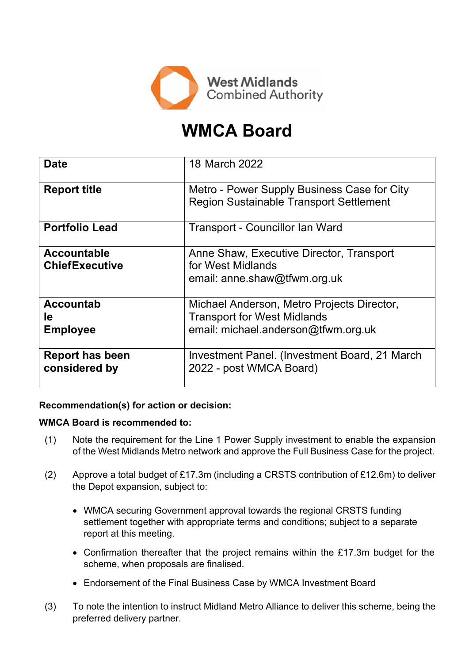

# **WMCA Board**

| <b>Date</b>                                 | 18 March 2022                                                                                                           |
|---------------------------------------------|-------------------------------------------------------------------------------------------------------------------------|
| <b>Report title</b>                         | Metro - Power Supply Business Case for City<br><b>Region Sustainable Transport Settlement</b>                           |
| <b>Portfolio Lead</b>                       | Transport - Councillor Ian Ward                                                                                         |
| <b>Accountable</b><br><b>ChiefExecutive</b> | Anne Shaw, Executive Director, Transport<br>for West Midlands<br>email: anne.shaw@tfwm.org.uk                           |
| <b>Accountab</b><br>le<br><b>Employee</b>   | Michael Anderson, Metro Projects Director,<br><b>Transport for West Midlands</b><br>email: michael.anderson@tfwm.org.uk |
| <b>Report has been</b><br>considered by     | Investment Panel. (Investment Board, 21 March<br>2022 - post WMCA Board)                                                |

# **Recommendation(s) for action or decision:**

## **WMCA Board is recommended to:**

- (1) Note the requirement for the Line 1 Power Supply investment to enable the expansion of the West Midlands Metro network and approve the Full Business Case for the project.
- (2) Approve a total budget of £17.3m (including a CRSTS contribution of £12.6m) to deliver the Depot expansion, subject to:
	- WMCA securing Government approval towards the regional CRSTS funding settlement together with appropriate terms and conditions; subject to a separate report at this meeting.
	- Confirmation thereafter that the project remains within the £17.3m budget for the scheme, when proposals are finalised.
	- Endorsement of the Final Business Case by WMCA Investment Board
- (3) To note the intention to instruct Midland Metro Alliance to deliver this scheme, being the preferred delivery partner.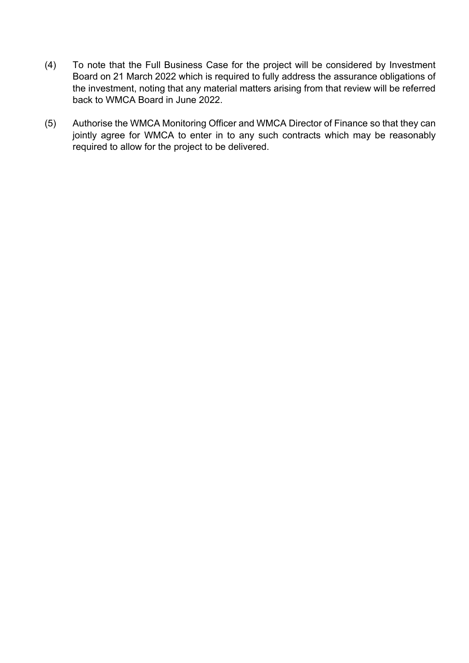- (4) To note that the Full Business Case for the project will be considered by Investment Board on 21 March 2022 which is required to fully address the assurance obligations of the investment, noting that any material matters arising from that review will be referred back to WMCA Board in June 2022.
- (5) Authorise the WMCA Monitoring Officer and WMCA Director of Finance so that they can jointly agree for WMCA to enter in to any such contracts which may be reasonably required to allow for the project to be delivered.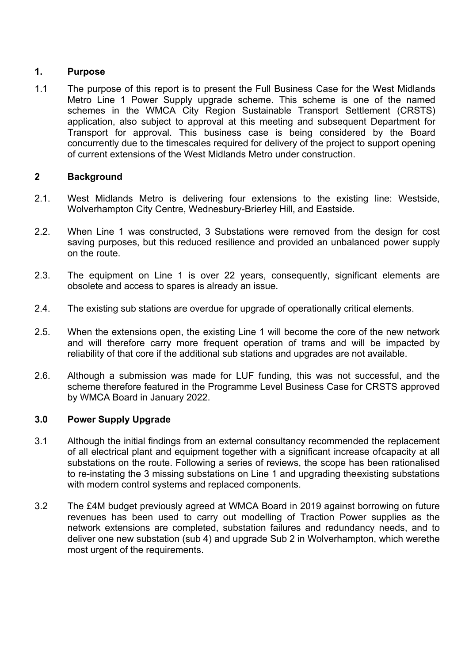# **1. Purpose**

1.1 The purpose of this report is to present the Full Business Case for the West Midlands Metro Line 1 Power Supply upgrade scheme. This scheme is one of the named schemes in the WMCA City Region Sustainable Transport Settlement (CRSTS) application, also subject to approval at this meeting and subsequent Department for Transport for approval. This business case is being considered by the Board concurrently due to the timescales required for delivery of the project to support opening of current extensions of the West Midlands Metro under construction.

## **2 Background**

- 2.1. West Midlands Metro is delivering four extensions to the existing line: Westside, Wolverhampton City Centre, Wednesbury-Brierley Hill, and Eastside.
- 2.2. When Line 1 was constructed, 3 Substations were removed from the design for cost saving purposes, but this reduced resilience and provided an unbalanced power supply on the route.
- 2.3. The equipment on Line 1 is over 22 years, consequently, significant elements are obsolete and access to spares is already an issue.
- 2.4. The existing sub stations are overdue for upgrade of operationally critical elements.
- 2.5. When the extensions open, the existing Line 1 will become the core of the new network and will therefore carry more frequent operation of trams and will be impacted by reliability of that core if the additional sub stations and upgrades are not available.
- 2.6. Although a submission was made for LUF funding, this was not successful, and the scheme therefore featured in the Programme Level Business Case for CRSTS approved by WMCA Board in January 2022.

## **3.0 Power Supply Upgrade**

- 3.1 Although the initial findings from an external consultancy recommended the replacement of all electrical plant and equipment together with a significant increase ofcapacity at all substations on the route. Following a series of reviews, the scope has been rationalised to re-instating the 3 missing substations on Line 1 and upgrading theexisting substations with modern control systems and replaced components.
- 3.2 The £4M budget previously agreed at WMCA Board in 2019 against borrowing on future revenues has been used to carry out modelling of Traction Power supplies as the network extensions are completed, substation failures and redundancy needs, and to deliver one new substation (sub 4) and upgrade Sub 2 in Wolverhampton, which werethe most urgent of the requirements.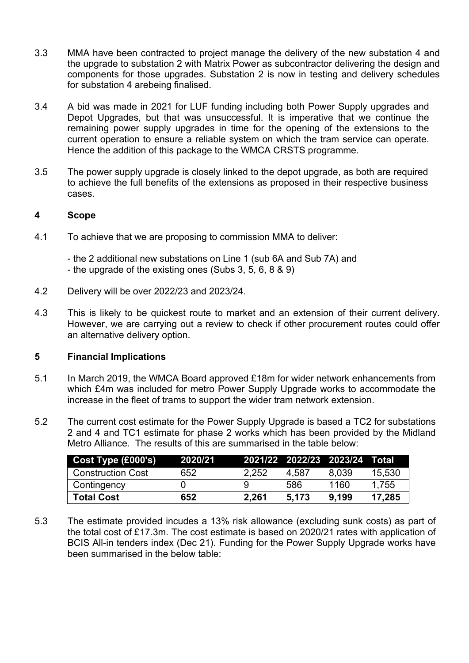- 3.3 MMA have been contracted to project manage the delivery of the new substation 4 and the upgrade to substation 2 with Matrix Power as subcontractor delivering the design and components for those upgrades. Substation 2 is now in testing and delivery schedules for substation 4 arebeing finalised.
- 3.4 A bid was made in 2021 for LUF funding including both Power Supply upgrades and Depot Upgrades, but that was unsuccessful. It is imperative that we continue the remaining power supply upgrades in time for the opening of the extensions to the current operation to ensure a reliable system on which the tram service can operate. Hence the addition of this package to the WMCA CRSTS programme.
- 3.5 The power supply upgrade is closely linked to the depot upgrade, as both are required to achieve the full benefits of the extensions as proposed in their respective business cases.

## **4 Scope**

4.1 To achieve that we are proposing to commission MMA to deliver:

- the 2 additional new substations on Line 1 (sub 6A and Sub 7A) and - the upgrade of the existing ones (Subs 3, 5, 6, 8 & 9)

- 4.2 Delivery will be over 2022/23 and 2023/24.
- 4.3 This is likely to be quickest route to market and an extension of their current delivery. However, we are carrying out a review to check if other procurement routes could offer an alternative delivery option.

#### **5 Financial Implications**

- 5.1 In March 2019, the WMCA Board approved £18m for wider network enhancements from which £4m was included for metro Power Supply Upgrade works to accommodate the increase in the fleet of trams to support the wider tram network extension.
- 5.2 The current cost estimate for the Power Supply Upgrade is based a TC2 for substations 2 and 4 and TC1 estimate for phase 2 works which has been provided by the Midland Metro Alliance. The results of this are summarised in the table below:

| Cost Type (£000's)       | 2020/21 |       |       | 2021/22 2022/23 2023/24 Total |        |
|--------------------------|---------|-------|-------|-------------------------------|--------|
| <b>Construction Cost</b> | 652     | 2.252 | 4.587 | 8.039                         | 15,530 |
| Contingency              |         |       | 586   | 1160                          | 1.755  |
| <b>Total Cost</b>        | 652     | 2.261 | 5.173 | 9.199                         | 17.285 |

5.3 The estimate provided incudes a 13% risk allowance (excluding sunk costs) as part of the total cost of £17.3m. The cost estimate is based on 2020/21 rates with application of BCIS All-in tenders index (Dec 21). Funding for the Power Supply Upgrade works have been summarised in the below table: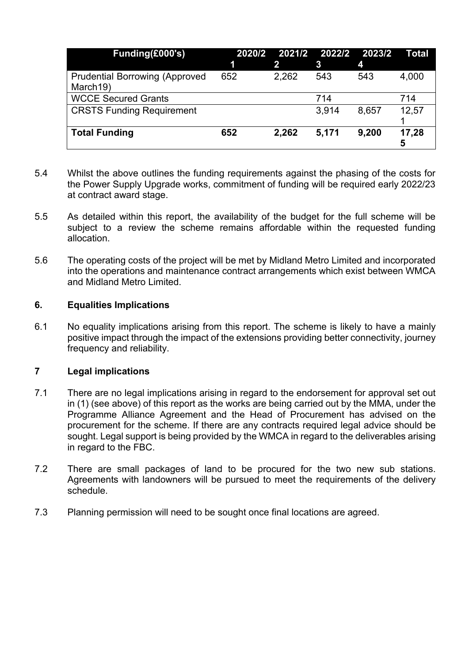| Funding(£000's)                                   | 2020/2<br>1 | 2     | 2021/2 2022/2 2023/2<br>3 | 4     | Total      |
|---------------------------------------------------|-------------|-------|---------------------------|-------|------------|
|                                                   | 652         |       | 543                       | 543   |            |
| <b>Prudential Borrowing (Approved</b><br>March19) |             | 2,262 |                           |       | 4,000      |
| <b>WCCE Secured Grants</b>                        |             |       | 714                       |       | 714        |
| <b>CRSTS Funding Requirement</b>                  |             |       | 3,914                     | 8,657 | 12,57      |
| <b>Total Funding</b>                              | 652         | 2,262 | 5,171                     | 9,200 | 17,28<br>5 |

- 5.4 Whilst the above outlines the funding requirements against the phasing of the costs for the Power Supply Upgrade works, commitment of funding will be required early 2022/23 at contract award stage.
- 5.5 As detailed within this report, the availability of the budget for the full scheme will be subject to a review the scheme remains affordable within the requested funding allocation.
- 5.6 The operating costs of the project will be met by Midland Metro Limited and incorporated into the operations and maintenance contract arrangements which exist between WMCA and Midland Metro Limited.

## **6. Equalities Implications**

6.1 No equality implications arising from this report. The scheme is likely to have a mainly positive impact through the impact of the extensions providing better connectivity, journey frequency and reliability.

## **7 Legal implications**

- 7.1 There are no legal implications arising in regard to the endorsement for approval set out in (1) (see above) of this report as the works are being carried out by the MMA, under the Programme Alliance Agreement and the Head of Procurement has advised on the procurement for the scheme. If there are any contracts required legal advice should be sought. Legal support is being provided by the WMCA in regard to the deliverables arising in regard to the FBC.
- 7.2 There are small packages of land to be procured for the two new sub stations. Agreements with landowners will be pursued to meet the requirements of the delivery schedule.
- 7.3 Planning permission will need to be sought once final locations are agreed.